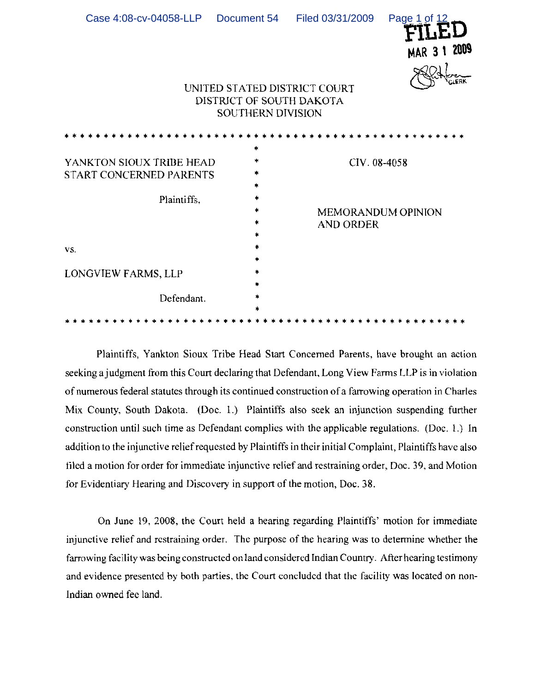| Case 4:08-cv-04058-LLP                                             | Document 54  | Filed 03/31/2009<br>UNITED STATED DISTRICT COURT<br>DISTRICT OF SOUTH DAKOTA<br>SOUTHERN DIVISION | Page 1 of 12<br>MAR 3 1 2009<br><b>C.ERK</b> |
|--------------------------------------------------------------------|--------------|---------------------------------------------------------------------------------------------------|----------------------------------------------|
|                                                                    |              |                                                                                                   |                                              |
| YANKTON SIOUX TRIBE HEAD<br>START CONCERNED PARENTS<br>Plaintiffs, | 車<br>÷.<br>* | <b>AND ORDER</b>                                                                                  | CIV. 08-4058<br><b>MEMORANDUM OPINION</b>    |
| VS.                                                                | ÷.           |                                                                                                   |                                              |
| LONGVIEW FARMS, LLP                                                |              |                                                                                                   |                                              |
| Defendant.                                                         |              |                                                                                                   |                                              |
|                                                                    |              |                                                                                                   |                                              |

Plaintiffs, Yankton Sioux Tribe Head Start Concerned Parents, have brought an action seeking a judgment from this Court declaring that Defendant, Long View Farms LLP is in violation of numerous federal statutes through its continued construction of a farrowing operation in Charles Mix County, South Dakota. (Doc. 1.) Plaintiffs also seek an injunction suspending further construction until such time as Defendant complies with the applicable regulations. (Doc. I.) In addition to the injunctive reliefrequested by Plaintiffs in their initial Complaint, Plaintiffs have also tiled a motion for order for immediate injunctive relief and restraining order, Doc. 39, and Motion for Evidentiary Hearing and Discovery in support of the motion, Doc. 38.

On June 19, 2008, the Court held a hearing regarding Plaintiffs' motion for immediate injunctive relief and restraining order. The purpose of the hearing was to determine whether the farrowing facility was being constructed on land considered Indian Country. After hearing testimony and evidence presented by both parties, the Court concluded that the facility was located on non-Indian owned fee land.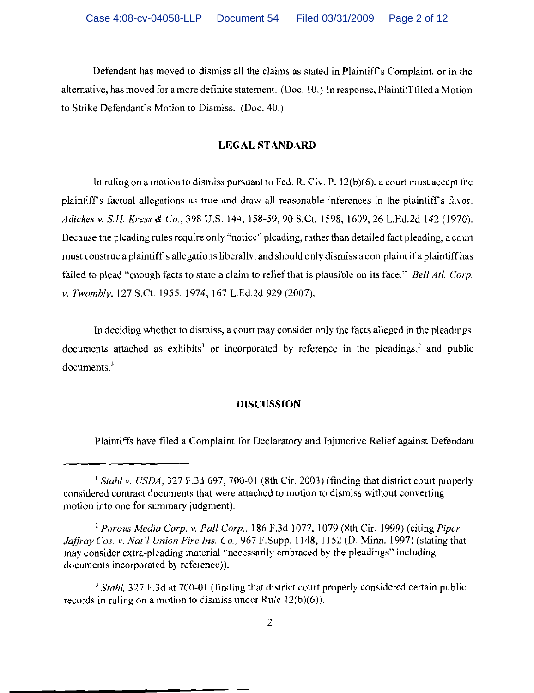Defendant has moved to dismiss all the claims as stated in Plaintiff's Complaint, or in the alternative, has moved for a more definite statement. (Doc. 10.) In response, Plaintifffiled a Motion to Strike Defendant's Motion to Dismiss. (Doc. 40.)

# **LEGAL STANDARD**

In ruling on a motion to dismiss pursuant to Fed. R. Civ. P. 12(b)(6), a court must accept the plaintiffs factual allegations as true and draw all reasonable inferences in the plaintiff's favor. *Adickes v.* s.H. *Kress* & *Co.,* 398 U.S. 144, 158-59,90 S.Ct. 1598, 1609,26 L.Ed.2d 142 (1970). Because the pleading rules require only "notice" pleading, rather than detailed fact pleading, a court must construe a plaintiff's allegations liberally, and should only dismiss a complaint if a plaintiff has failed to plead "enough facts to state a claim to relief that is plausible on its face." *Bell Atl. Corp. v. Twombly, 127 S.Ct. 1955, 1974, 167 L.Ed.2d 929 (2007).* 

**In** deciding whether to dismiss, a court may consider only the facts alleged in the pleadings, documents attached as exhibits<sup>1</sup> or incorporated by reference in the pleadings,<sup>2</sup> and public documents.'

### **DISCUSSION**

Plaintiffs have filed a Complaint for Declaratory and Injunctive Relief against Defendant

<sup>&</sup>lt;sup>1</sup> Stahl v. USDA, 327 F.3d 697, 700-01 (8th Cir. 2003) (finding that district court properly considered contract documents that were attached to motion to dismiss without converting motion into one for summary judgment).

*<sup>2</sup> Porous Media Corp. v. Pall Corp.,* 186 F.3d 1077, 1079 (8th Cir. 1999) (citing *Piper Jaffray Cos. v. Nat'l Union Fire Ins. Co., 967 F.Supp. 1148, 1152 (D. Minn. 1997) (stating that* may consider extra-pleading material "necessarily embraced by the pleadings" including documents incorporated by reference)).

 $<sup>3</sup> Stahl, 327 F.3d$  at 700-01 (finding that district court properly considered certain public</sup> records in ruling on a motion to dismiss under Rule 12(b)(6)).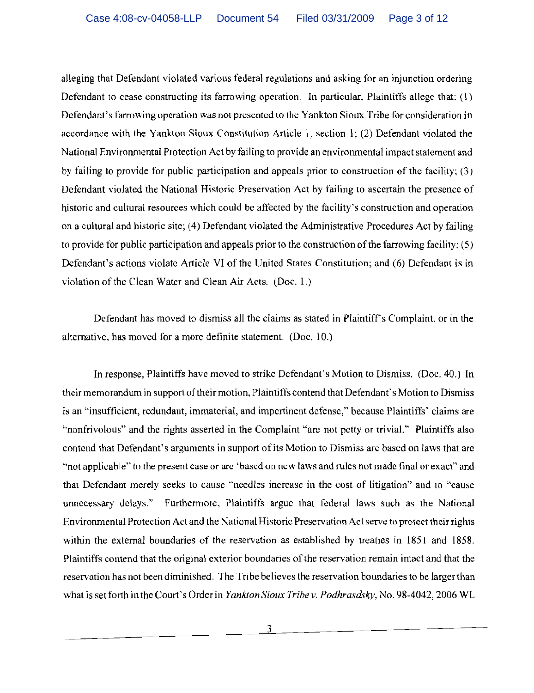alleging that Defendant violated various federal regulations and asking for an injunction ordering Defendant to cease constructing its farrowing operation. In particular, Plaintiffs allege that: (1) Defendant's farrowing operation was not presented to the Yankton Sioux Tribe for consideration in accordance with the Yankton Sioux Constitution Article 1, section I; (2) Defendant violated the National Environmental Protection Act by failing to provide an environmental impact statement and by failing to provide for public participation and appeals prior to construction of the facility; (3) Defendant violated the National Historic Preservation Act by failing to ascertain the presence of historic and cultural resources which could be affected by the facility's construction and operation on a cultural and historic site; (4) Defendant violated the Administrative Procedures Act by failing to provide for public participation and appeals prior to the construction of the farrowing facility;  $(5)$ Defendant's actions violate Article VI of the United States Constitution; and (6) Defendant is in violation of the Clean Water and Clean Air Acts. (Doc. I.)

Defendant has moved to dismiss all the claims as stated in Plaintiff's Complaint, or in the alternative, has moved for a more definite statement. (Doc. 10.)

In response, Plaintiffs have moved to strike Defendant's Motion to Dismiss. (Doc. 40.) In their memorandum in support of their motion, Plaintiffs contend that Defendant's Motion to Dismiss is an "insufficient, redundant, immaterial, and impertinent defense," because Plaintiffs' claims are "nonfrivolous" and the rights asserted in the Complaint "are not petty or trivial." Plaintiffs also contend that Defendant's arguments in support of its Motion to Dismiss are based on laws that are "not applicable" to the present case or arc 'based on new laws and rules not made final or exact" and that Defendant merely seeks to cause "needles increase in the cost of litigation" and to "cause unnecessary delays." Furthermore, Plaintiffs argue that federal laws such as the National Environmental Protection Act and the National Historic Preservation Act serve to protect their rights within the external boundaries of the reservation as established by treaties in 1851 and 1858. Plaintiffs contend that the original exterior boundaries of the reservation remain intact and that the reservation has not been diminished. The Tribe believes the reservation boundaries to be larger than what is set forth in the Court's Order in *Yankton Sioux Tribe v. Podhrasdsky,* No. 98-4042, 2006 WI.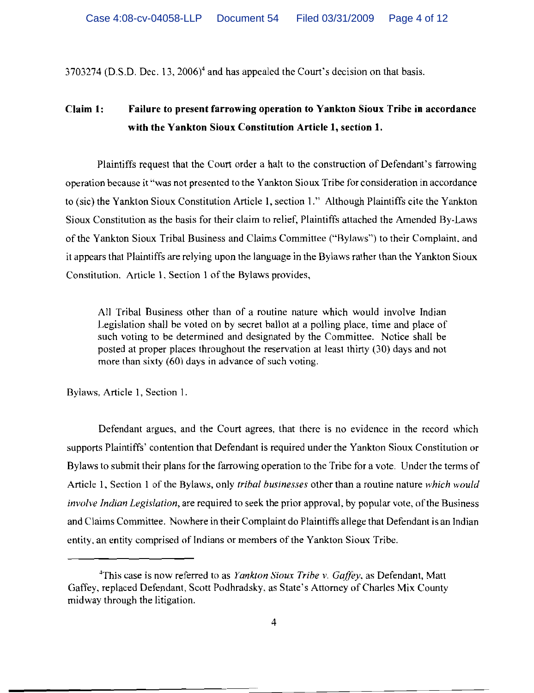$3703274$  (D.S.D. Dec. 13, 2006)<sup>4</sup> and has appealed the Court's decision on that basis.

# **Claim 1: Failure to present farrowing operation to Yankton Sioux Tribe in accordance witb the Yankton Sioux Constitution Article I, section 1.**

Plaintiffs request that the Court order a halt to the construction of Defendant's farrowing operation because it "was not presented to the Yankton Sioux Tribe for consideration in accordance to (sic) the Yankton Sioux Constitution Article I, section I." Although Plaintiffs cite the Yankton Sioux Constitution as the basis for their claim to relief, Plaintiffs attached the Amended By-Laws of the Yankton Sioux Tribal Business and Claims Committee ("Bylaws") to their Complaint, and it appears that Plaintiffs are relying upon the language in the Bylaws rather than the Yankton Sioux Constitution. Article I. Section I of the Bylaws provides,

All Tribal Business other than of a routine nature which would involve Indian Legislation shall be voted on by secret ballot at a polling place, time and place of such voting to be determined and designated by the Committee. Notice shall be posted at proper places throughout the reservation at least thirty (30) days and not more than sixty (60) days in advance of such voting.

Bylaws, Article I, Section 1.

Defendant argues, and the Court agrees, that there is no evidence in the record which supports Plaintiffs' contention that Defendant is required under the Yankton Sioux Constitution or Bylaws to submit their plans for the farrowing operation to the Tribe for a vote. Under the terms of Article I, Section I of the Bylaws, only *Iribal businesses* other than a routine nature *which would involve Indian Legislation*, are required to seek the prior approval, by popular vote, of the Business and Claims Committee. Nowhere in their Complaint do Plaintiffs allege that Defendant is an Indian entity. an entity comprised of Indians or members of the Yankton Sioux Tribe.

<sup>4</sup>This case is now referred to as *Yanklon Sioux Tribe* v. *Gaffey.* as Defendant, Matt Gaffey, replaced Defendant, Scott Podhradsky, as State's Attorney of Charles Mix County midway through the litigation.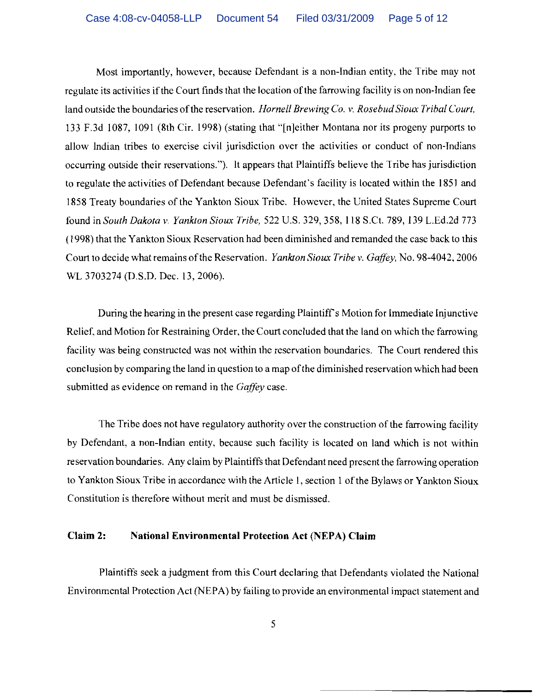Most importantly, however, because Defendant is a non-Indian entity, the Tribe may not regulate its activities if the Court finds that the location of the farrowing facility is on non-Indian fee land outside the boundaries of the reservation. *Hornell Brewing Co. v. Rosebud Sioux Tribal Court*, 133 F.3d 1087, 1091 (8th Cir. 1998) (stating that "[n]either Montana nor its progeny purports to allow Indian tribes to exercise civil jurisdiction over the activities or conduct of non-Indians occurring outside their reservations."). It appears that Plaintiffs believe the Tribe has jurisdiction to regulate the activities of Defendant because Defendant's facility is located within the 1851 and 1858 Treaty boundaries of the Yankton Sioux Tribe. However, the United States Supreme Court found in *South Dakota v. Yankton Sioux Tribe,* 522 U.S. 329, 358, 118 S.Ct. 789, 139 L.Ed.2d 773 (1998) that the Yankton Sioux Reservation had been diminished and remanded the case back to this Court to decide what remains ofthe Reservation. *Yankton Sioux Tribe v. Gaffey,* No. 98-4042, 2006 WL 3703274 (D.S.D. Dec. 13,2006).

During the hearing in the present case regarding Plaintiff's Motion for Immediate Injunctive Relief. and Motion for Restraining Order, the Court concluded that the land on which the farrowing facility was being constructed was not within the reservation boundaries. The Court rendered this conclusion by comparing the land in question to a map of the diminished reservation which had been submitted as evidence on remand in the *Gaffey* case.

The Tribe does not have regulatory authority over the construction of the farrowing facility by Defendant, a non-Indian entity, because such facility is located on land which is not within reservation boundaries. Any claim by Plaintiffs that Defendant need present the farrowing operation to Yankton Sioux Tribe in accordance with the Article 1, section 1 of the Bylaws or Yankton Sioux Constitution is therefore without merit and must be dismissed.

## **Claim 2: National Environmental Protection Act** (NEPA) **Claim**

Plaintiffs seek a judgment from this Court declaring that Defendants violated the National Environmental Protection Act (NEPA) by failing to provide an environmental impact statement and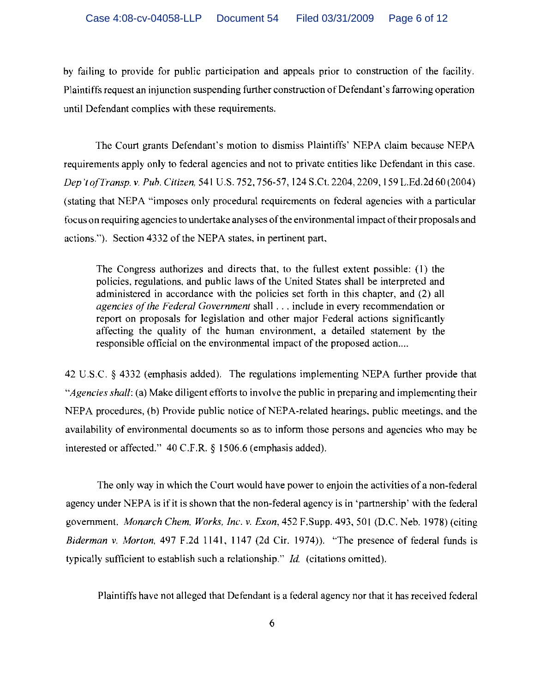by failing to provide for public participation and appeals prior to construction of the facility. Plaintiffs request an injunction suspending further construction of Defendant's farrowing operation until Defendant complies with these requirements.

The Court grants Defendant's motion to dismiss Plaintiffs' NEPA claim because NEPA requirements apply only to federal agencies and not to private entities like Defendant in this case. *Dep 'to(Transp. v. Pub. Citizen,* 541 U.S. 752, 756-57,124 S.Ct. 2204, 2209,159 L.Ed.2d 60 (2004) (stating that NEPA "imposes only procedural requirements on federal agencies with a particular focus on requiring agencies to undertake analyses ofthe environmental impact oftheir proposals and actions."). Section 4332 of the NEPA states, in pertinent part,

The Congress authorizes and directs that, to the fullest extent possible: (I) the policies, regulations, and public laws of the United States shall be interpreted and administered in accordance with the policies set forth in this chapter, and (2) all *agencies of the Federal Government* shall . . . include in every recommendation or report on proposals for legislation and other major Federal actions significantly affecting the quality of the human environment, a detailed statement by the responsible official on the environmental impact of the proposed action....

42 U.S.c. § 4332 (emphasis added). The regulations implementing NEPA further provide that *"Agencies shall:* (a) Make diligent efforts to involve the public in preparing and implementing their NEPA procedures, (b) Provide public notice of NEPA-related hearings, public meetings, and the availability of environmental documents so as to inform those persons and agencies who may be interested or affected." 40 C.F.R. § 1506.6 (emphasis added).

The only way in which the Court would have power to enjoin the activities of a non-federal agency under NEPA is if it is shown that the non-federal agency is in 'partnership' with the federal government. *Monarch Chem. Works, Inc. v. Exon,* 452 F.Supp. 493, 501 (D.C. Neb. 1978) (citing *Biderman v. Morton,* 497 F.2d 1141, 1147 (2d Cir. 1974». "The presence of federal funds is typically sufficient to establish such a relationship." *Id.* (citations omined).

Plaintiffs have not alleged that Defendant is a federal agency nor that it has received federal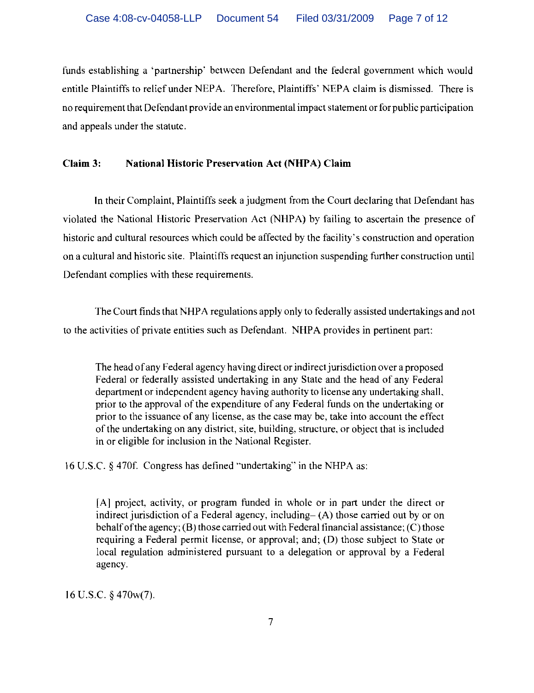funds establishing a 'partnership' between Defendant and the federal government which would entitle Plaintiffs to relief under NEPA. Therefore, Plaintiffs' NEPA claim is dismissed. There is no requirement that Defendant provide an environmental impact statement or for public participation and appeals under the statute.

# **Claim 3: National Historic Preservation Act (NHPA) Claim**

In their Complaint, Plaintiffs seek a judgment from the Court declaring that Defendant has violated the National Historic Preservation Act (NHPA) by failing to ascertain the presence of historic and cultural resources which could be affected by the facility's construction and operation on a cultural and historic site. Plaintiffs request an injunction suspending further construction until Defendant complies with these requirements.

The Court finds that NHPA regulations apply only to federally assisted undertakings and not to the activities of private entities such as Defendant. NHPA provides in pertinent part:

The head of any Federal agency having direct or indirect jurisdiction over a proposed Federal or federally assisted undertaking in any State and the head of any Federal department or independent agency having authority to license any undertaking shall. prior to the approval of the expenditure of any Federal funds on the undertaking or prior to the issuance of any license, as the case may be, take into account the effect of the undertaking on any district, site, building, structure, or object that is included in or eligible for inclusion in the National Register.

16 U.S.c. § 4701'. Congress has defined "undertaking" in the NHPA as:

[A] project, activity, or program funded in whole or in part under the direct or indirect jurisdiction of a Federal agency, including- $(A)$  those carried out by or on behalf of the agency; (B) those carried out with Federal financial assistance; (C) those requiring a Federal permit license, or approval; and; (D) those subject to State or local regulation administered pursuant to a delegation or approval by a Federal agency.

16 U.S.C. § 470w(7).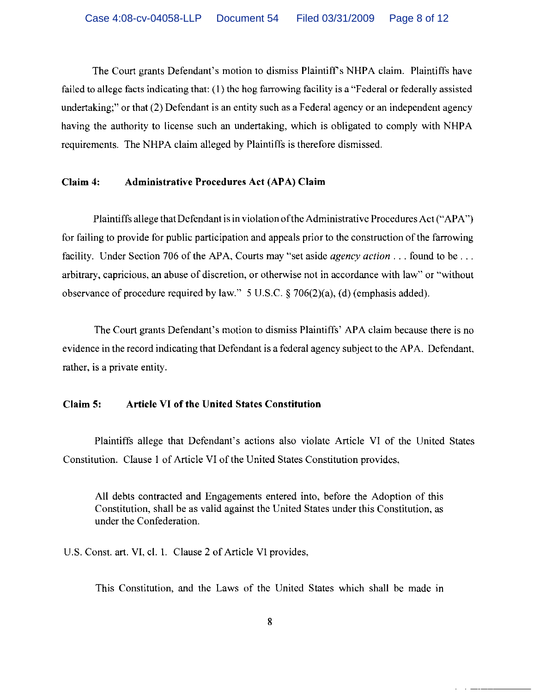The Court grants Defendant's motion to dismiss Plaintiff's NHPA claim. Plaintiffs have failed to allege facts indicating that: (I) thc hog farrowing facility is a "Federal or federally assisted undertaking;" or that (2) Defendant is an entity such as a Federal agency or an independent agency having the authority to license such an undertaking, which is obligated to comply with NHPA requirements. The NHPA claim alleged by Plaintiffs is therefore dismissed.

### **Claim 4: Administrative Procedures Act** (APA) **Claim**

Plaintiffs allege that Defendant is in violation ofthe Administrative Procedures Act ("APA") for failing to provide for public participation and appeals prior to the construction of the farrowing facility. Under Section 706 of the APA, Courts may "set aside *agency action .* .. found to be ... arbitrary, capricious, an abuse of discretion, or otherwise not in accordance with law" or "without observance of procedure required by law." 5 U.S.C. § 706(2)(a), (d) (emphasis added).

The Court grants Defendant's motion to dismiss Plaintiffs' APA claim because there is no evidence in the record indicating that Defendant is a federal agency subject to the APA. Defendant, rather, is a private entity.

# **Claim 5: Article VI of the United States Constitution**

Plaintiffs allege that Defendant's actions also violate Article **VI** of the United States Constitution. Clause I of Article **VI** of the United States Constitution provides,

All debts contracted and Engagements entered into, before the Adoption of this Constitution, shall be as valid against the United States under this Constitution, as under the Confederation.

U.S. Const. art. VI, cl. I. Clause 2 of Article VI provides,

This Constitution, and the Laws of the United States which shall be made in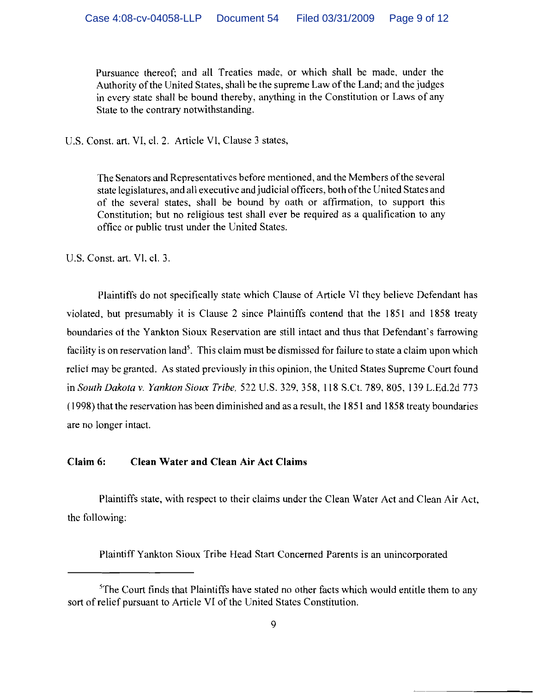Pursuance thereof; and all Treaties made, or which shall be made, under the Authority of the United States, shall be the supreme Law of the Land; and the judges in every state shall be bound thereby, anything in the Constitution or Laws of any State to the contrary notwithstanding.

U.s, Const. art. VI, cl. 2. Article VI, Clause 3 states,

The Senators and Representatives before mentioned, and the Members ofthe several state legislatures, and all executive and judicial officers, both ofthe United States and of the several states, shall be bound by oath or affirmation, to support this Constitution; but no religious test shall ever be required as a qualification to any office or public trust under the United States,

U.S. Const. art. VI, cl. 3.

Plaintiffs do not specifically state which Clause of Article VI they believe Defendant has violated, but presumably it is Clause 2 since Plaintiffs contend that the 1851 and 1858 treaty boundaries of the Yankton Sioux Reservation are still intact and thus that Defendant's farrowing facility is on reservation land'. This claim must be dismissed for failure to state a claim upon which relief may be granted. As stated previously in this opinion, the United States Supreme Court found in *South Dakota* v. *Yankton Sioux Tribe.* 522 U.S. 329, 358, 118 S.Ct. 789, 805,139 L.Ed,2d 773 (1998) that the reservation has been diminished and as a result, the 1851 and 1858 treaty boundaries are no longer intact.

# Claim 6: Clean Water and Clean Air Act Claims

Plaintiffs state, with respect to their claims under the Clean Water Act and Clean Air Act, the following:

Plaintiff Yankton Sioux Tribe Head Start Concerned Parents is an unincorporated

 ${}^{5}$ The Court finds that Plaintiffs have stated no other facts which would entitle them to any sort of relief pursuant to Article VI of the United States Constitution,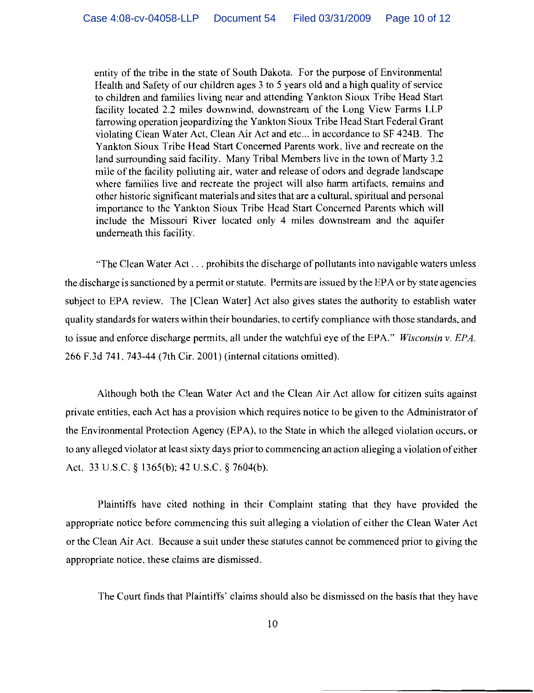entity of the tribe in the state of South Dakota. For the purpose of Environmental Health and Safety of our children ages 3 to 5 years old and a high quality of service to children and families living near and attending Yankton Sioux Tribe Head Start facility located 2.2 miles downwind, downstream of the Long View Farms LLP farrowing operation jeopardizing the Yankton Sioux Tribe Head Start Federal Grant violating Clean Water Act, Clean Air Act and etc... in accordance to SF 424B. The Yankton Sioux Tribe Head Start Concerned Parents work, live and recreate on the land surrounding said facility. Many Tribal Members live in the town of Marty 3.2 mile of the facility polluting air, water and release of odors and degrade landscape where families live and recreate the project will also harm artifacts, remains and other historic significant materials and sites that are a cultural, spiritual and personal importance to the Yankton Sioux Tribe Head Start Concerned Parents which will include the Missouri River located only 4 miles downstream and the aquifer underneath this facility.

"The Clean Water Act ... prohibits the discharge of pollutants into navigable waters unless the discharge is sanctioned by a permit or statute. Permits are issued by the EP A or by state agencies subject to EPA review. The [Clean Water] Act also gives states the authority to establish water quality standards for waters within their boundaries, to certify compliance with those standards, and to issue and enforce discharge permits, all under the watchful eye of the EPA." *Wisconsin* v. *EPA.*  266 F.3d 741.743-44 (7th Cir. 2001) (internal citations omitted).

Although both the Clean Water Act and the Clean Air Act allow for citizen suits against private entities, each Act has a provision which requires notice to be given to the Administrator of the Environmental Protection Agency (EPA), to the State in which the alleged violation occurs, or to any alleged violator at least sixty days prior to commencing an action alleging a violation ofeither Act. 33 U.S.C. § 1365(b); 42 U.S.C. § 7604(b).

Plaintiffs have cited nothing in their Complaint stating that they have provided the appropriate notice before commencing this suit alleging a violation of either the Clean Water Act or the Clean Air Act. Because a suit under these statutes cannot be commenced prior to giving the appropriate notice, these claims are dismissed.

The Court finds that Plaintiffs' claims should also be dismissed on the basis that they have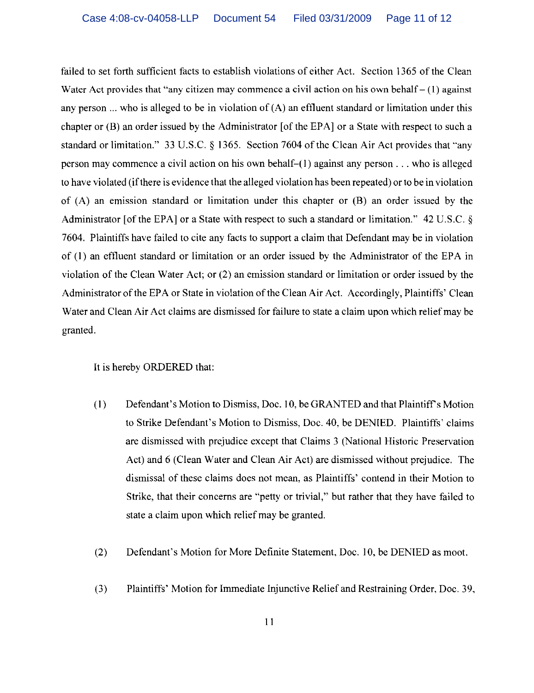failed to set forth sufficient facts to establish violations of either Act. Section 1365 of the Clean Water Act provides that "any citizen may commence a civil action on his own behalf  $- (1)$  against any person ... who is alleged to be in violation of (A) an effluent standard or limitation under this chapter or (B) an order issued by the Administrator [of the EPA] or a State with respect to such a standard or limitation." 33 U.S.C. § 1365. Section 7604 of the Clean Air Act provides that "any person may commence a civil action on his own behalf-(l) against any person ... who is alleged to have violated (ifthere is evidence that the alleged violation has been repeated) or to be in violation of (A) an emission standard or limitation under this chapter or (B) an order issued by the Administrator [of the EPA] or a State with respect to such a standard or limitation." 42 U.S.C. § 7604. Plaintiffs have failed to cite any facts to support a claim that Defendant may be in violation of (I) an effluent standard or limitation or an order issued by the Administrator of the EPA in violation of the Clean Water Act; or (2) an emission standard or limitation or order issued by the Administrator of the EPA or State in violation of the Clean Air Act. Accordingly, Plaintiffs' Clean Water and Clean Air Act claims are dismissed for failure to state a claim upon which relief may be granted.

# It is hereby ORDERED that:

- (1) Defendant's Motion to Dismiss, Doc. 10, be GRANTED and that Plaintiff's Motion to Strike Defendant's Motion to Dismiss, Doc. 40, be DENTED. Plaintiffs' claims are dismissed with prejudice except that Claims 3 (National Historic Preservation Act) and 6 (Clean Water and Clean Air Act) are dismissed without prejudice. The dismissal of these claims does not mean, as Plaintiffs' contend in their Motion to Strike, that their concerns are "petty or trivial," but rather that they have failed to state a claim upon which relief may be granted.
- (2) Defendant's Motion for More Definite Statement, Doc. 10, be DENIED as moot.
- (3) Plaintiffs' Motion for Immediate Injunctive Relief and Restraining Order, Doc. 39,